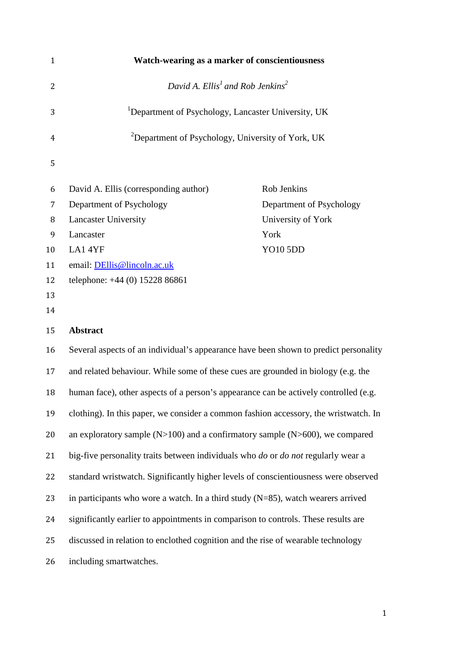| $\mathbf{1}$ | Watch-wearing as a marker of conscientiousness                                                  |                          |  |  |  |  |
|--------------|-------------------------------------------------------------------------------------------------|--------------------------|--|--|--|--|
| 2            | David A. $Ellis1$ and Rob Jenkins <sup>2</sup>                                                  |                          |  |  |  |  |
| 3            | <sup>1</sup> Department of Psychology, Lancaster University, UK                                 |                          |  |  |  |  |
| 4            | <sup>2</sup> Department of Psychology, University of York, UK                                   |                          |  |  |  |  |
| 5            |                                                                                                 |                          |  |  |  |  |
| 6            | David A. Ellis (corresponding author)                                                           | Rob Jenkins              |  |  |  |  |
| 7            | Department of Psychology                                                                        | Department of Psychology |  |  |  |  |
| 8            | <b>Lancaster University</b>                                                                     | University of York       |  |  |  |  |
| 9            | Lancaster                                                                                       | York                     |  |  |  |  |
| 10           | LA14YF                                                                                          | <b>YO10 5DD</b>          |  |  |  |  |
| 11           | email: DEllis@lincoln.ac.uk                                                                     |                          |  |  |  |  |
| 12           | telephone: +44 (0) 15228 86861                                                                  |                          |  |  |  |  |
| 13           |                                                                                                 |                          |  |  |  |  |
| 14           |                                                                                                 |                          |  |  |  |  |
| 15           | <b>Abstract</b>                                                                                 |                          |  |  |  |  |
| 16           | Several aspects of an individual's appearance have been shown to predict personality            |                          |  |  |  |  |
| 17           | and related behaviour. While some of these cues are grounded in biology (e.g. the               |                          |  |  |  |  |
| 18           | human face), other aspects of a person's appearance can be actively controlled (e.g.            |                          |  |  |  |  |
| 19           | clothing). In this paper, we consider a common fashion accessory, the wristwatch. In            |                          |  |  |  |  |
| 20           | an exploratory sample $(N>100)$ and a confirmatory sample $(N>600)$ , we compared               |                          |  |  |  |  |
| 21           | big-five personality traits between individuals who <i>do</i> or <i>do not</i> regularly wear a |                          |  |  |  |  |
| 22           | standard wristwatch. Significantly higher levels of conscientiousness were observed             |                          |  |  |  |  |
| 23           | in participants who wore a watch. In a third study $(N=85)$ , watch wearers arrived             |                          |  |  |  |  |
| 24           | significantly earlier to appointments in comparison to controls. These results are              |                          |  |  |  |  |
| 25           | discussed in relation to enclothed cognition and the rise of wearable technology                |                          |  |  |  |  |
| 26           | including smartwatches.                                                                         |                          |  |  |  |  |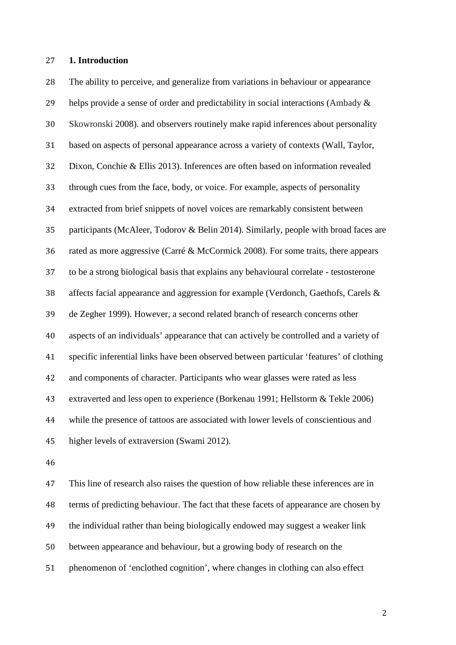#### **1. Introduction**

 The ability to perceive, and generalize from variations in behaviour or appearance helps provide a sense of order and predictability in social interactions (Ambady & Skowronski 2008). and observers routinely make rapid inferences about personality based on aspects of personal appearance across a variety of contexts (Wall, Taylor, Dixon, Conchie & Ellis 2013). Inferences are often based on information revealed through cues from the face, body, or voice. For example, aspects of personality extracted from brief snippets of novel voices are remarkably consistent between participants (McAleer, Todorov & Belin 2014). Similarly, people with broad faces are rated as more aggressive (Carré & McCormick 2008). For some traits, there appears to be a strong biological basis that explains any behavioural correlate - testosterone affects facial appearance and aggression for example (Verdonch, Gaethofs, Carels & de Zegher 1999). However, a second related branch of research concerns other aspects of an individuals' appearance that can actively be controlled and a variety of specific inferential links have been observed between particular 'features' of clothing and components of character. Participants who wear glasses were rated as less extraverted and less open to experience (Borkenau 1991; Hellstorm & Tekle 2006) while the presence of tattoos are associated with lower levels of conscientious and higher levels of extraversion (Swami 2012).

 This line of research also raises the question of how reliable these inferences are in terms of predicting behaviour. The fact that these facets of appearance are chosen by the individual rather than being biologically endowed may suggest a weaker link between appearance and behaviour, but a growing body of research on the phenomenon of 'enclothed cognition', where changes in clothing can also effect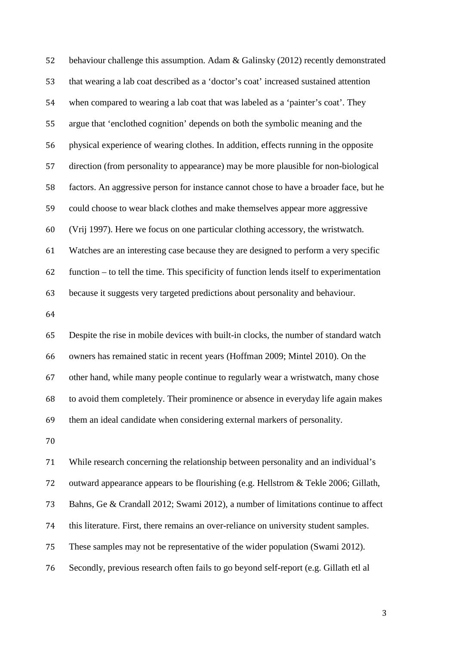behaviour challenge this assumption. Adam & Galinsky (2012) recently demonstrated that wearing a lab coat described as a 'doctor's coat' increased sustained attention when compared to wearing a lab coat that was labeled as a 'painter's coat'. They argue that 'enclothed cognition' depends on both the symbolic meaning and the physical experience of wearing clothes. In addition, effects running in the opposite direction (from personality to appearance) may be more plausible for non-biological factors. An aggressive person for instance cannot chose to have a broader face, but he could choose to wear black clothes and make themselves appear more aggressive (Vrij 1997). Here we focus on one particular clothing accessory, the wristwatch. Watches are an interesting case because they are designed to perform a very specific function – to tell the time. This specificity of function lends itself to experimentation because it suggests very targeted predictions about personality and behaviour. Despite the rise in mobile devices with built-in clocks, the number of standard watch owners has remained static in recent years (Hoffman 2009; Mintel 2010). On the

 other hand, while many people continue to regularly wear a wristwatch, many chose to avoid them completely. Their prominence or absence in everyday life again makes them an ideal candidate when considering external markers of personality.

 While research concerning the relationship between personality and an individual's outward appearance appears to be flourishing (e.g. Hellstrom & Tekle 2006; Gillath, Bahns, Ge & Crandall 2012; Swami 2012), a number of limitations continue to affect this literature. First, there remains an over-reliance on university student samples. These samples may not be representative of the wider population (Swami 2012). Secondly, previous research often fails to go beyond self-report (e.g. Gillath etl al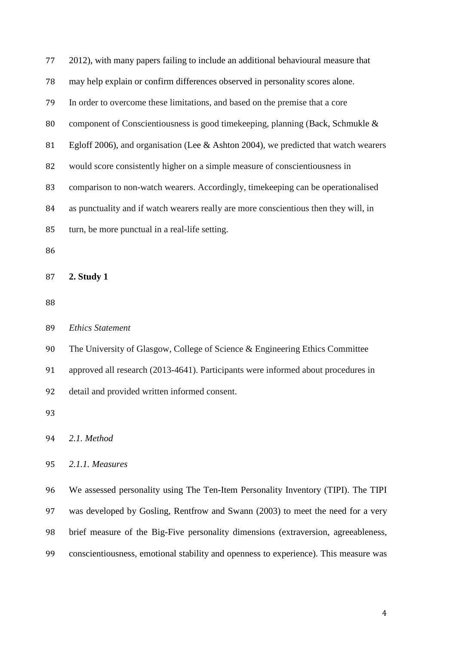| 77 | 2012), with many papers failing to include an additional behavioural measure that    |
|----|--------------------------------------------------------------------------------------|
| 78 | may help explain or confirm differences observed in personality scores alone.        |
| 79 | In order to overcome these limitations, and based on the premise that a core         |
| 80 | component of Conscientiousness is good timekeeping, planning (Back, Schmukle &       |
| 81 | Egloff 2006), and organisation (Lee & Ashton 2004), we predicted that watch wearers  |
| 82 | would score consistently higher on a simple measure of conscientiousness in          |
| 83 | comparison to non-watch wearers. Accordingly, timekeeping can be operationalised     |
| 84 | as punctuality and if watch wearers really are more conscientious then they will, in |
| 85 | turn, be more punctual in a real-life setting.                                       |
| 86 |                                                                                      |
| 87 | 2. Study 1                                                                           |
|    |                                                                                      |
| 88 |                                                                                      |
| 89 | <b>Ethics Statement</b>                                                              |
| 90 | The University of Glasgow, College of Science & Engineering Ethics Committee         |
| 91 | approved all research (2013-4641). Participants were informed about procedures in    |
| 92 | detail and provided written informed consent.                                        |
| 93 |                                                                                      |
| 94 | 2.1. Method                                                                          |
| 95 | 2.1.1. Measures                                                                      |
| 96 | We assessed personality using The Ten-Item Personality Inventory (TIPI). The TIPI    |

brief measure of the Big-Five personality dimensions (extraversion, agreeableness,

conscientiousness, emotional stability and openness to experience). This measure was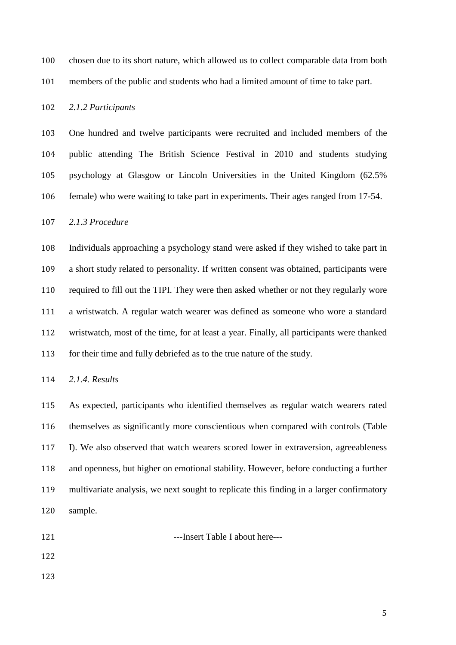chosen due to its short nature, which allowed us to collect comparable data from both

members of the public and students who had a limited amount of time to take part.

# *2.1.2 Participants*

 One hundred and twelve participants were recruited and included members of the public attending The British Science Festival in 2010 and students studying psychology at Glasgow or Lincoln Universities in the United Kingdom (62.5% female) who were waiting to take part in experiments. Their ages ranged from 17-54.

#### *2.1.3 Procedure*

 Individuals approaching a psychology stand were asked if they wished to take part in a short study related to personality. If written consent was obtained, participants were required to fill out the TIPI. They were then asked whether or not they regularly wore a wristwatch. A regular watch wearer was defined as someone who wore a standard wristwatch, most of the time, for at least a year. Finally, all participants were thanked for their time and fully debriefed as to the true nature of the study.

*2.1.4. Results*

 As expected, participants who identified themselves as regular watch wearers rated themselves as significantly more conscientious when compared with controls (Table I). We also observed that watch wearers scored lower in extraversion, agreeableness and openness, but higher on emotional stability. However, before conducting a further multivariate analysis, we next sought to replicate this finding in a larger confirmatory sample.

- 
- 121 ---Insert Table I about here---
-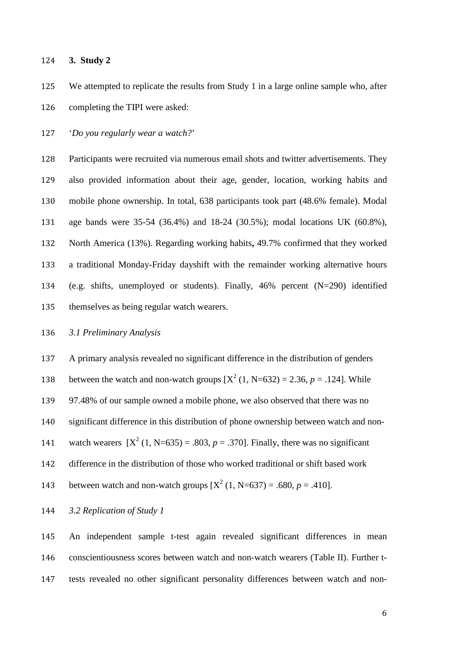**3. Study 2** 

 We attempted to replicate the results from Study 1 in a large online sample who, after completing the TIPI were asked:

'*Do you regularly wear a watch?*'

 Participants were recruited via numerous email shots and twitter advertisements. They also provided information about their age, gender, location, working habits and mobile phone ownership. In total, 638 participants took part (48.6% female). Modal age bands were 35-54 (36.4%) and 18-24 (30.5%); modal locations UK (60.8%), North America (13%). Regarding working habits**,** 49.7% confirmed that they worked a traditional Monday-Friday dayshift with the remainder working alternative hours (e.g. shifts, unemployed or students). Finally, 46% percent (N=290) identified themselves as being regular watch wearers.

### *3.1 Preliminary Analysis*

A primary analysis revealed no significant difference in the distribution of genders

138 between the watch and non-watch groups  $[X^2 (1, N=632) = 2.36, p = .124]$ . While

97.48% of our sample owned a mobile phone, we also observed that there was no

significant difference in this distribution of phone ownership between watch and non-

141 watch wearers  $[X^2 (1, N=635) = .803, p = .370]$ . Finally, there was no significant

difference in the distribution of those who worked traditional or shift based work

143 between watch and non-watch groups  $[X^2 (1, N=637) = .680, p = .410]$ .

## *3.2 Replication of Study 1*

 An independent sample t-test again revealed significant differences in mean conscientiousness scores between watch and non-watch wearers (Table II). Further t-tests revealed no other significant personality differences between watch and non-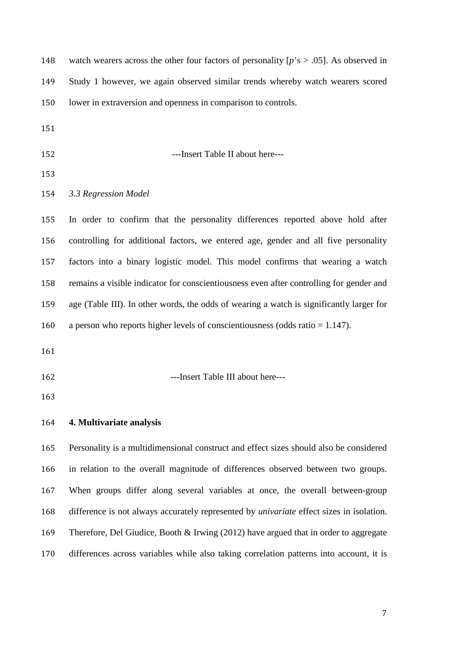| 148 | watch wearers across the other four factors of personality $[p's > .05]$ . As observed in       |
|-----|-------------------------------------------------------------------------------------------------|
| 149 | Study 1 however, we again observed similar trends whereby watch wearers scored                  |
| 150 | lower in extraversion and openness in comparison to controls.                                   |
| 151 |                                                                                                 |
| 152 | ---Insert Table II about here---                                                                |
| 153 |                                                                                                 |
| 154 | 3.3 Regression Model                                                                            |
| 155 | In order to confirm that the personality differences reported above hold after                  |
| 156 | controlling for additional factors, we entered age, gender and all five personality             |
| 157 | factors into a binary logistic model. This model confirms that wearing a watch                  |
| 158 | remains a visible indicator for conscientiousness even after controlling for gender and         |
| 159 | age (Table III). In other words, the odds of wearing a watch is significantly larger for        |
| 160 | a person who reports higher levels of conscientiousness (odds ratio $= 1.147$ ).                |
| 161 |                                                                                                 |
| 162 | ---Insert Table III about here---                                                               |
| 163 |                                                                                                 |
| 164 | 4. Multivariate analysis                                                                        |
| 165 | Personality is a multidimensional construct and effect sizes should also be considered          |
| 166 | in relation to the overall magnitude of differences observed between two groups.                |
| 167 | When groups differ along several variables at once, the overall between-group                   |
| 168 | difference is not always accurately represented by <i>univariate</i> effect sizes in isolation. |
| 169 | Therefore, Del Giudice, Booth & Irwing (2012) have argued that in order to aggregate            |
| 170 | differences across variables while also taking correlation patterns into account, it is         |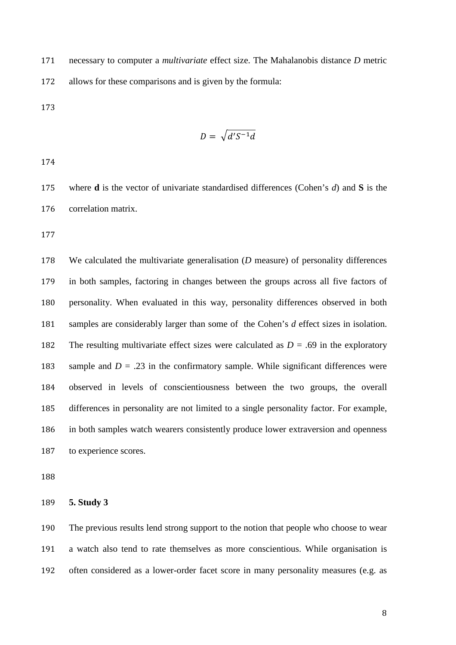necessary to computer a *multivariate* effect size. The Mahalanobis distance *D* metric allows for these comparisons and is given by the formula:

$$
D = \sqrt{d'S^{-1}d}
$$

 where **d** is the vector of univariate standardised differences (Cohen's *d*) and **S** is the correlation matrix.

 We calculated the multivariate generalisation (*D* measure) of personality differences in both samples, factoring in changes between the groups across all five factors of personality. When evaluated in this way, personality differences observed in both samples are considerably larger than some of the Cohen's *d* effect sizes in isolation. 182 The resulting multivariate effect sizes were calculated as  $D = .69$  in the exploratory 183 sample and  $D = .23$  in the confirmatory sample. While significant differences were observed in levels of conscientiousness between the two groups, the overall differences in personality are not limited to a single personality factor. For example, in both samples watch wearers consistently produce lower extraversion and openness to experience scores.

**5. Study 3**

 The previous results lend strong support to the notion that people who choose to wear a watch also tend to rate themselves as more conscientious. While organisation is often considered as a lower-order facet score in many personality measures (e.g. as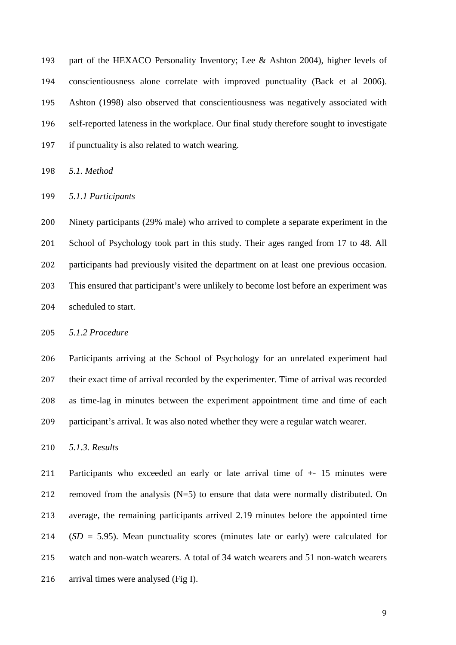part of the HEXACO Personality Inventory; Lee & Ashton 2004), higher levels of conscientiousness alone correlate with improved punctuality (Back et al 2006). Ashton (1998) also observed that conscientiousness was negatively associated with self-reported lateness in the workplace. Our final study therefore sought to investigate if punctuality is also related to watch wearing.

*5.1. Method*

*5.1.1 Participants*

 Ninety participants (29% male) who arrived to complete a separate experiment in the School of Psychology took part in this study. Their ages ranged from 17 to 48. All participants had previously visited the department on at least one previous occasion. This ensured that participant's were unlikely to become lost before an experiment was scheduled to start.

*5.1.2 Procedure*

 Participants arriving at the School of Psychology for an unrelated experiment had their exact time of arrival recorded by the experimenter. Time of arrival was recorded as time-lag in minutes between the experiment appointment time and time of each participant's arrival. It was also noted whether they were a regular watch wearer.

*5.1.3. Results*

 Participants who exceeded an early or late arrival time of +- 15 minutes were removed from the analysis (N=5) to ensure that data were normally distributed. On average, the remaining participants arrived 2.19 minutes before the appointed time (*SD* = 5.95). Mean punctuality scores (minutes late or early) were calculated for watch and non-watch wearers. A total of 34 watch wearers and 51 non-watch wearers arrival times were analysed (Fig I).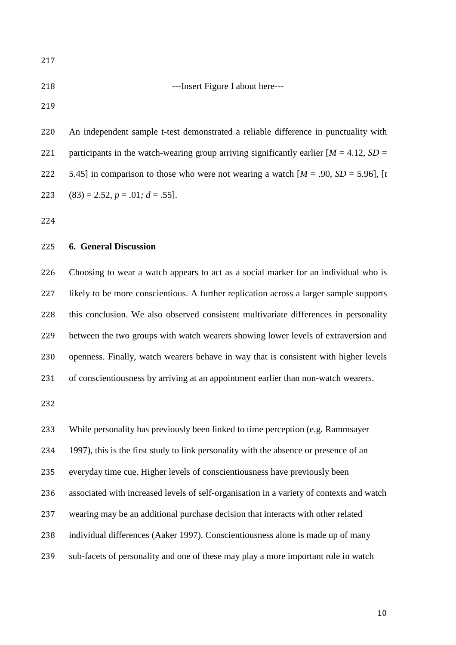## ---Insert Figure I about here---

 An independent sample t-test demonstrated a reliable difference in punctuality with 221 participants in the watch-wearing group arriving significantly earlier  $[M = 4.12, SD =$ 222 5.45] in comparison to those who were not wearing a watch  $[M = .90, SD = 5.96]$ ,  $[t]$ 223 (83) = 2.52,  $p = .01$ ;  $d = .55$ ].

### **6. General Discussion**

 Choosing to wear a watch appears to act as a social marker for an individual who is likely to be more conscientious. A further replication across a larger sample supports this conclusion. We also observed consistent multivariate differences in personality between the two groups with watch wearers showing lower levels of extraversion and openness. Finally, watch wearers behave in way that is consistent with higher levels of conscientiousness by arriving at an appointment earlier than non-watch wearers.

While personality has previously been linked to time perception (e.g. Rammsayer

1997), this is the first study to link personality with the absence or presence of an

everyday time cue. Higher levels of conscientiousness have previously been

associated with increased levels of self-organisation in a variety of contexts and watch

wearing may be an additional purchase decision that interacts with other related

individual differences (Aaker 1997). Conscientiousness alone is made up of many

sub-facets of personality and one of these may play a more important role in watch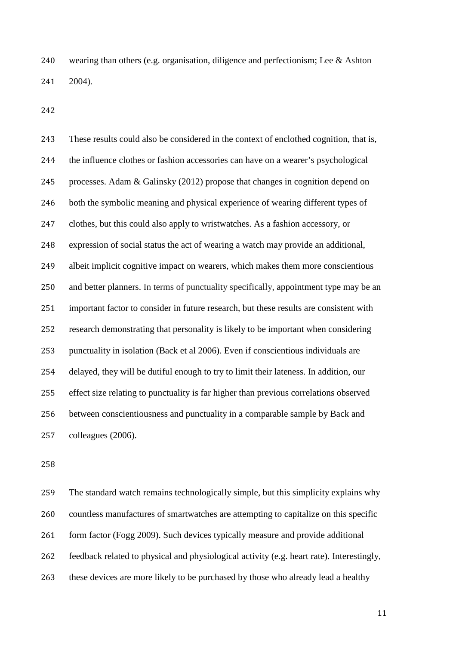wearing than others (e.g. organisation, diligence and perfectionism; Lee & Ashton 2004).

 These results could also be considered in the context of enclothed cognition, that is, the influence clothes or fashion accessories can have on a wearer's psychological processes. Adam & Galinsky (2012) propose that changes in cognition depend on both the symbolic meaning and physical experience of wearing different types of clothes, but this could also apply to wristwatches. As a fashion accessory, or expression of social status the act of wearing a watch may provide an additional, albeit implicit cognitive impact on wearers, which makes them more conscientious and better planners. In terms of punctuality specifically, appointment type may be an important factor to consider in future research, but these results are consistent with research demonstrating that personality is likely to be important when considering punctuality in isolation (Back et al 2006). Even if conscientious individuals are delayed, they will be dutiful enough to try to limit their lateness. In addition, our effect size relating to punctuality is far higher than previous correlations observed between conscientiousness and punctuality in a comparable sample by Back and colleagues (2006).

 The standard watch remains technologically simple, but this simplicity explains why countless manufactures of smartwatches are attempting to capitalize on this specific form factor (Fogg 2009). Such devices typically measure and provide additional feedback related to physical and physiological activity (e.g. heart rate). Interestingly, these devices are more likely to be purchased by those who already lead a healthy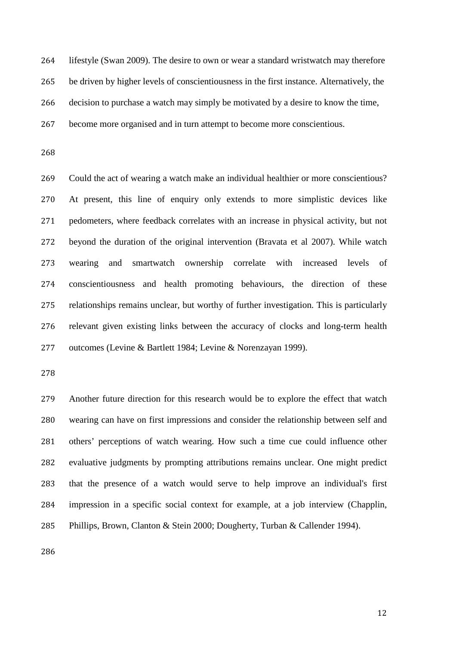lifestyle (Swan 2009). The desire to own or wear a standard wristwatch may therefore be driven by higher levels of conscientiousness in the first instance. Alternatively, the decision to purchase a watch may simply be motivated by a desire to know the time, become more organised and in turn attempt to become more conscientious.

 Could the act of wearing a watch make an individual healthier or more conscientious? At present, this line of enquiry only extends to more simplistic devices like pedometers, where feedback correlates with an increase in physical activity, but not beyond the duration of the original intervention (Bravata et al 2007). While watch wearing and smartwatch ownership correlate with increased levels of conscientiousness and health promoting behaviours, the direction of these relationships remains unclear, but worthy of further investigation. This is particularly relevant given existing links between the accuracy of clocks and long-term health outcomes (Levine & Bartlett 1984; Levine & Norenzayan 1999).

 Another future direction for this research would be to explore the effect that watch wearing can have on first impressions and consider the relationship between self and others' perceptions of watch wearing. How such a time cue could influence other evaluative judgments by prompting attributions remains unclear. One might predict that the presence of a watch would serve to help improve an individual's first impression in a specific social context for example, at a job interview (Chapplin, Phillips, Brown, Clanton & Stein 2000; Dougherty, Turban & Callender 1994).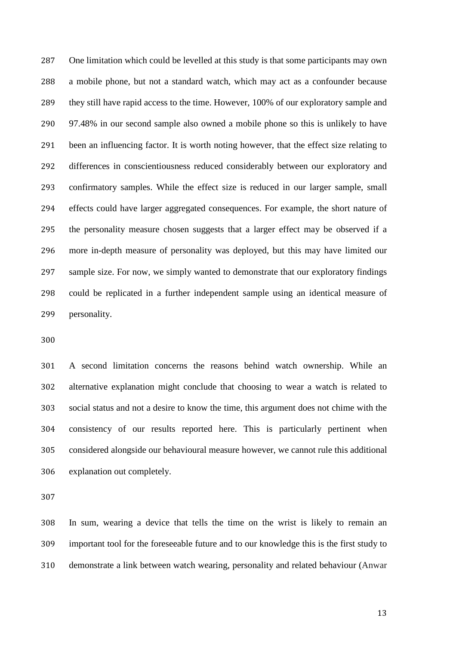One limitation which could be levelled at this study is that some participants may own a mobile phone, but not a standard watch, which may act as a confounder because they still have rapid access to the time. However, 100% of our exploratory sample and 97.48% in our second sample also owned a mobile phone so this is unlikely to have been an influencing factor. It is worth noting however, that the effect size relating to differences in conscientiousness reduced considerably between our exploratory and confirmatory samples. While the effect size is reduced in our larger sample, small effects could have larger aggregated consequences. For example, the short nature of the personality measure chosen suggests that a larger effect may be observed if a more in-depth measure of personality was deployed, but this may have limited our sample size. For now, we simply wanted to demonstrate that our exploratory findings could be replicated in a further independent sample using an identical measure of personality.

 A second limitation concerns the reasons behind watch ownership. While an alternative explanation might conclude that choosing to wear a watch is related to social status and not a desire to know the time, this argument does not chime with the consistency of our results reported here. This is particularly pertinent when considered alongside our behavioural measure however, we cannot rule this additional explanation out completely.

 In sum, wearing a device that tells the time on the wrist is likely to remain an important tool for the foreseeable future and to our knowledge this is the first study to demonstrate a link between watch wearing, personality and related behaviour (Anwar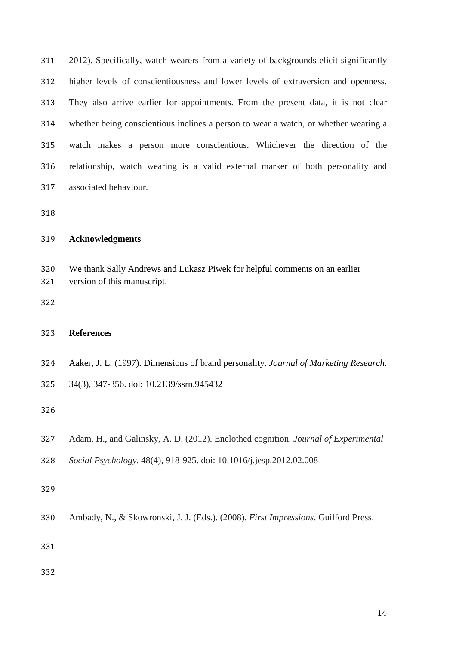2012). Specifically, watch wearers from a variety of backgrounds elicit significantly higher levels of conscientiousness and lower levels of extraversion and openness. They also arrive earlier for appointments. From the present data, it is not clear whether being conscientious inclines a person to wear a watch, or whether wearing a watch makes a person more conscientious. Whichever the direction of the relationship, watch wearing is a valid external marker of both personality and associated behaviour.

| <b>Acknowledgments</b> |
|------------------------|
|                        |

 We thank Sally Andrews and Lukasz Piwek for helpful comments on an earlier version of this manuscript.

### **References**

- Aaker, J. L. (1997). Dimensions of brand personality. *Journal of Marketing Research*.
- 34(3), 347-356. doi: 10.2139/ssrn.945432

- Adam, H., and Galinsky, A. D. (2012). Enclothed cognition. *Journal of Experimental*
- *Social Psychology*. 48(4), 918-925. doi: 10.1016/j.jesp.2012.02.008

Ambady, N., & Skowronski, J. J. (Eds.). (2008). *First Impressions*. Guilford Press.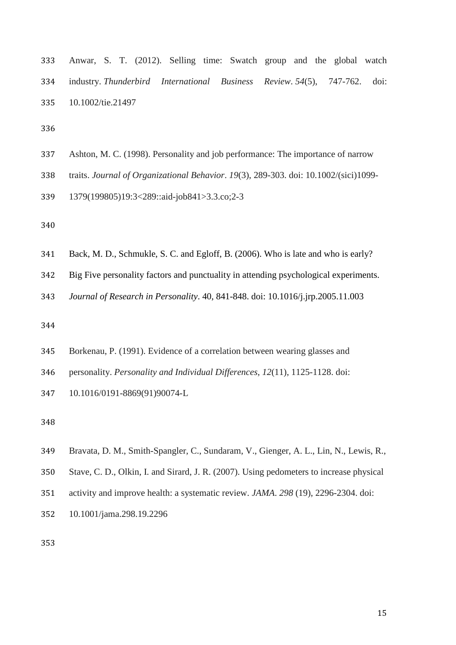| 333 Anwar, S. T. (2012). Selling time: Swatch group and the global watch      |  |  |  |
|-------------------------------------------------------------------------------|--|--|--|
| 334 industry. Thunderbird International Business Review. 54(5), 747-762. doi: |  |  |  |
| 335 10.1002/tie.21497                                                         |  |  |  |

- Ashton, M. C. (1998). Personality and job performance: The importance of narrow
- traits. *Journal of Organizational Behavior*. *19*(3), 289-303. doi: 10.1002/(sici)1099-
- 1379(199805)19:3<289::aid-job841>3.3.co;2-3

- Back, M. D., Schmukle, S. C. and Egloff, B. (2006). Who is late and who is early?
- Big Five personality factors and punctuality in attending psychological experiments.
- *Journal of Research in Personality*. 40, 841-848. doi: 10.1016/j.jrp.2005.11.003

- Borkenau, P. (1991). Evidence of a correlation between wearing glasses and
- personality. *Personality and Individual Differences*, *12*(11), 1125-1128. doi:
- 10.1016/0191-8869(91)90074-L

- Bravata, D. M., Smith-Spangler, C., Sundaram, V., Gienger, A. L., Lin, N., Lewis, R.,
- Stave, C. D., Olkin, I. and Sirard, J. R. (2007). Using pedometers to increase physical
- activity and improve health: a systematic review. *JAMA*. *298* (19), 2296-2304. doi:
- 10.1001/jama.298.19.2296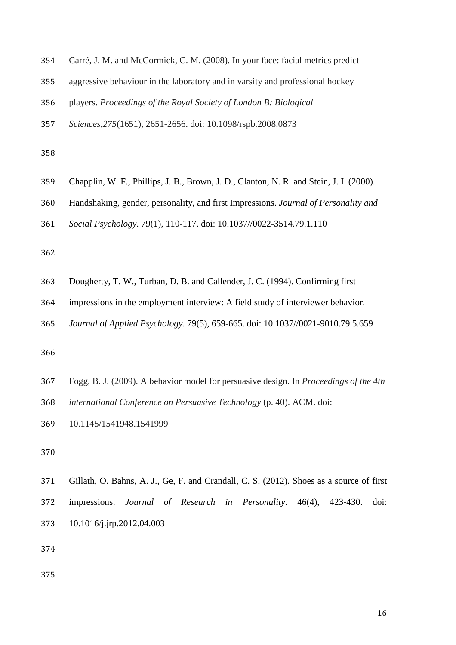| 354 Carré, J. M. and McCormick, C. M. (2008). In your face: facial metrics predict |  |
|------------------------------------------------------------------------------------|--|
|------------------------------------------------------------------------------------|--|

- aggressive behaviour in the laboratory and in varsity and professional hockey
- players. *Proceedings of the Royal Society of London B: Biological*
- *Sciences*,*275*(1651), 2651-2656. doi: 10.1098/rspb.2008.0873

- Chapplin, W. F., Phillips, J. B., Brown, J. D., Clanton, N. R. and Stein, J. I. (2000).
- Handshaking, gender, personality, and first Impressions. *Journal of Personality and*
- *Social Psychology*. 79(1), 110-117. doi: 10.1037//0022-3514.79.1.110

- Dougherty, T. W., Turban, D. B. and Callender, J. C. (1994). Confirming first
- impressions in the employment interview: A field study of interviewer behavior.
- *Journal of Applied Psychology*. 79(5), 659-665. doi: 10.1037//0021-9010.79.5.659

- Fogg, B. J. (2009). A behavior model for persuasive design. In *Proceedings of the 4th*
- *international Conference on Persuasive Technology* (p. 40). ACM. doi:
- 10.1145/1541948.1541999

 Gillath, O. Bahns, A. J., Ge, F. and Crandall, C. S. (2012). Shoes as a source of first impressions. *Journal of Research in Personality*. 46(4), 423-430. doi: 10.1016/j.jrp.2012.04.003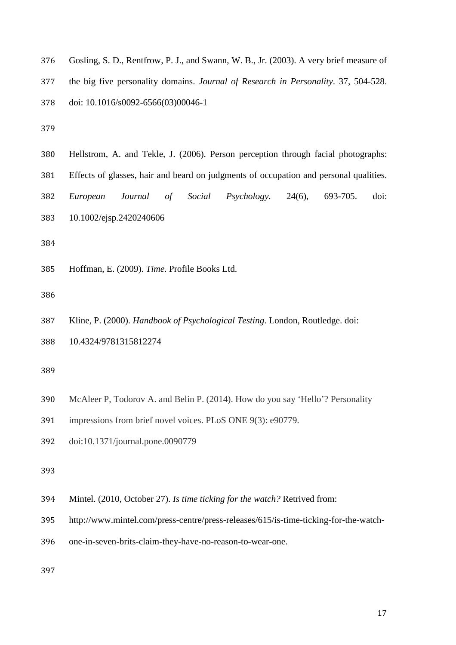|  | 376 Gosling, S. D., Rentfrow, P. J., and Swann, W. B., Jr. (2003). A very brief measure of |  |  |  |  |
|--|--------------------------------------------------------------------------------------------|--|--|--|--|
|--|--------------------------------------------------------------------------------------------|--|--|--|--|

the big five personality domains. *Journal of Research in Personality*. 37, 504-528.

doi: 10.1016/s0092-6566(03)00046-1

- Hellstrom, A. and Tekle, J. (2006). Person perception through facial photographs:
- Effects of glasses, hair and beard on judgments of occupation and personal qualities.
- *European Journal of Social Psychology*. 24(6), 693-705. doi:
- 10.1002/ejsp.2420240606

Hoffman, E. (2009). *Time*. Profile Books Ltd.

- Kline, P. (2000). *Handbook of Psychological Testing*. London, Routledge. doi:
- 10.4324/9781315812274

- McAleer P, Todorov A. and Belin P. (2014). How do you say 'Hello'? Personality
- impressions from brief novel voices. PLoS ONE 9(3): e90779.
- doi:10.1371/journal.pone.0090779
- 
- Mintel. (2010, October 27). *Is time ticking for the watch?* Retrived from:
- http://www.mintel.com/press-centre/press-releases/615/is-time-ticking-for-the-watch-
- one-in-seven-brits-claim-they-have-no-reason-to-wear-one.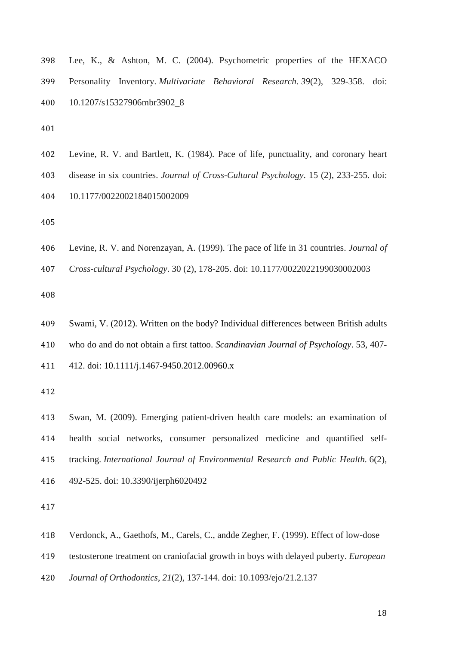| 398 | Lee, K., & Ashton, M. C. (2004). Psychometric properties of the HEXACO               |  |
|-----|--------------------------------------------------------------------------------------|--|
| 399 | Personality Inventory. <i>Multivariate Behavioral Research.</i> 39(2), 329-358. doi: |  |
|     | 400 10.1207/s15327906mbr3902 8                                                       |  |

|  |  |  | 402 Levine, R. V. and Bartlett, K. (1984). Pace of life, punctuality, and coronary heart |  |  |  |  |  |  |  |  |  |
|--|--|--|------------------------------------------------------------------------------------------|--|--|--|--|--|--|--|--|--|
|--|--|--|------------------------------------------------------------------------------------------|--|--|--|--|--|--|--|--|--|

- disease in six countries. *Journal of Cross-Cultural Psychology*. 15 (2), 233-255. doi:
- 10.1177/0022002184015002009

Levine, R. V. and Norenzayan, A. (1999). The pace of life in 31 countries. *Journal of* 

*Cross-cultural Psychology*. 30 (2), 178-205. doi: 10.1177/0022022199030002003

- Swami, V. (2012). Written on the body? Individual differences between British adults
- who do and do not obtain a first tattoo. *Scandinavian Journal of Psychology*. 53, 407-
- 412. doi: 10.1111/j.1467-9450.2012.00960.x

 Swan, M. (2009). Emerging patient-driven health care models: an examination of health social networks, consumer personalized medicine and quantified self- tracking. *International Journal of Environmental Research and Public Health.* 6(2), 492-525. doi: 10.3390/ijerph6020492

Verdonck, A., Gaethofs, M., Carels, C., andde Zegher, F. (1999). Effect of low-dose

- testosterone treatment on craniofacial growth in boys with delayed puberty. *European*
- *Journal of Orthodontics*, *21*(2), 137-144. doi: 10.1093/ejo/21.2.137